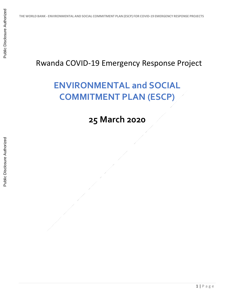## Rwanda COVID-19 Emergency Response Project

## **ENVIRONMENTAL and SOCIAL COMMITMENT PLAN (ESCP)**

## **25 March 2020**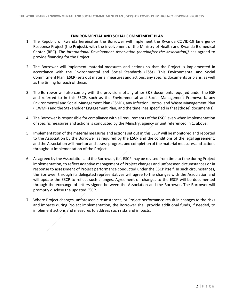## **ENVIRONMENTAL AND SOCIAL COMMITMENT PLAN**

- 1. The Republic of Rwanda hereinafter the Borrower will implement the Rwanda COVID-19 Emergency Response Project (the **Project**), with the involvement of the Ministry of Health and Rwanda Biomedical Center (RBC). The *International Development Association (hereinafter the Association])* has agreed to provide financing for the Project.
- 2. The Borrower will implement material measures and actions so that the Project is implemented in accordance with the Environmental and Social Standards (**ESSs**). This Environmental and Social Commitment Plan (**ESCP**) sets out material measures and actions, any specific documents or plans, as well as the timing for each of these.
- 3. The Borrower will also comply with the provisions of any other E&S documents required under the ESF and referred to in this ESCP, such as the Environmental and Social Management Framework, any Environmental and Social Management Plan (ESMP), any Infection Control and Waste Management Plan (ICWMP) and the Stakeholder Engagement Plan, and the timelines specified in that [those] document(s).
- 4. The Borrower is responsible for compliance with all requirements of the ESCP even when implementation of specific measures and actions is conducted by the Ministry, agency or unit referenced in 1. above.
- 5. Implementation of the material measures and actions set out in this ESCP will be monitored and reported to the Association by the Borrower as required by the ESCP and the conditions of the legal agreement, and the Association will monitor and assess progress and completion of the material measures and actions throughout implementation of the Project.
- 6. As agreed by the Association and the Borrower, this ESCP may be revised from time to time during Project implementation, to reflect adaptive management of Project changes and unforeseen circumstances or in response to assessment of Project performance conducted under the ESCP itself. In such circumstances, the Borrower through its delegated representatives will agree to the changes with the Association and will update the ESCP to reflect such changes. Agreement on changes to the ESCP will be documented through the exchange of letters signed between the Association and the Borrower. The Borrower will promptly disclose the updated ESCP.
- 7. Where Project changes, unforeseen circumstances, or Project performance result in changes to the risks and impacts during Project implementation, the Borrower shall provide additional funds, if needed, to implement actions and measures to address such risks and impacts.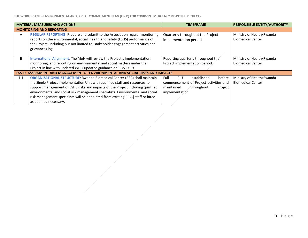**THE WORLD BANK - ENVIRONMENTAL AND SOCIAL COMMITMENT PLAN (ESCP) FOR COVID-19 EMERGENCY RESPONSE PROJECTS**

| <b>MATERIAL MEASURES AND ACTIONS</b>                                                  |                                                                                                                                                                                                                                                                                                                                                                                                                                                 | <b>TIMEFRAME</b>                                                                                                                               | <b>RESPONSIBLE ENTITY/AUTHORITY</b>                   |  |  |
|---------------------------------------------------------------------------------------|-------------------------------------------------------------------------------------------------------------------------------------------------------------------------------------------------------------------------------------------------------------------------------------------------------------------------------------------------------------------------------------------------------------------------------------------------|------------------------------------------------------------------------------------------------------------------------------------------------|-------------------------------------------------------|--|--|
|                                                                                       | <b>MONITORING AND REPORTING</b>                                                                                                                                                                                                                                                                                                                                                                                                                 |                                                                                                                                                |                                                       |  |  |
| A                                                                                     | REGULAR REPORTING: Prepare and submit to the Association regular monitoring<br>reports on the environmental, social, health and safety (ESHS) performance of<br>the Project, including but not limited to, stakeholder engagement activities and<br>grievances log.                                                                                                                                                                             | Quarterly throughout the Project<br>implementation period                                                                                      | Ministry of Health/Rwanda<br><b>Biomedical Center</b> |  |  |
| В                                                                                     | International Alignment. The MoH will review the Project's implementation,<br>monitoring, and reporting on environmental and social matters under the<br>Project in line with updated WHO updated guidance on COVID-19.                                                                                                                                                                                                                         | Reporting quarterly throughout the<br>Project implementation period.                                                                           | Ministry of Health/Rwanda<br><b>Biomedical Center</b> |  |  |
| <b>ESS 1: ASSESSMENT AND MANAGEMENT OF ENVIRONMENTAL AND SOCIAL RISKS AND IMPACTS</b> |                                                                                                                                                                                                                                                                                                                                                                                                                                                 |                                                                                                                                                |                                                       |  |  |
| 1.1                                                                                   | <b>ORGANIZATIONAL STRUCTURE: Rwanda Biomedical Center (RBC) shall maintain</b><br>the Single Project Implementation Unit with qualified staff and resources to<br>support management of ESHS risks and impacts of the Project including qualified<br>environmental and social risk management specialists. Environmental and social<br>risk management specialists will be appointed from existing [RBC] staff or hired<br>as deemed necessary. | Full<br><b>PIU</b><br>before<br>established<br>commencement of Project activities and<br>maintained<br>throughout<br>Project<br>implementation | Ministry of Health/Rwanda<br><b>Biomedical Center</b> |  |  |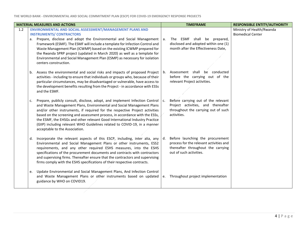| <b>MATERIAL MEASURES AND ACTIONS</b> |    |                                                                                                                                                                | <b>TIMEFRAME</b> | <b>RESPONSIBLE ENTITY/AUTHORITY</b>                                         |                           |
|--------------------------------------|----|----------------------------------------------------------------------------------------------------------------------------------------------------------------|------------------|-----------------------------------------------------------------------------|---------------------------|
| 1.2                                  |    | ENVIRONMENTAL AND SOCIAL ASSESSMENT/MANAGEMENT PLANS AND                                                                                                       |                  |                                                                             | Ministry of Health/Rwanda |
|                                      |    | <b>INSTRUMENTS/ CONTRACTORS</b>                                                                                                                                |                  |                                                                             | <b>Biomedical Center</b>  |
|                                      |    | a. Prepare, disclose and adopt the Environmental and Social Management                                                                                         | a.               | The ESMF shall be prepared,                                                 |                           |
|                                      |    | Framework (ESMF). The ESMF will include a template for Infection Control and                                                                                   |                  | disclosed and adopted within one (1)                                        |                           |
|                                      |    | Waste Management Plan (ICWMP) based on the existing ICWMP prepared for                                                                                         |                  | month after the Effectiveness Date,                                         |                           |
|                                      |    | the Rwanda SPRP project (updated in March 2020) as well as a template for                                                                                      |                  |                                                                             |                           |
|                                      |    | Environmental and Social Management Plan (ESMP) as necessary for isolation                                                                                     |                  |                                                                             |                           |
|                                      |    | centers construction.                                                                                                                                          |                  |                                                                             |                           |
|                                      |    |                                                                                                                                                                |                  | Assessment shall be conducted                                               |                           |
|                                      | b. | Assess the environmental and social risks and impacts of proposed Project<br>activities - including to ensure that individuals or groups who, because of their | b.               | before the carrying out of the                                              |                           |
|                                      |    | particular circumstances, may be disadvantaged or vulnerable, have access to                                                                                   |                  | relevant Project activities.                                                |                           |
|                                      |    | the development benefits resulting from the Project - in accordance with ESSs                                                                                  |                  |                                                                             |                           |
|                                      |    | and the ESMF.                                                                                                                                                  |                  |                                                                             |                           |
|                                      |    |                                                                                                                                                                |                  |                                                                             |                           |
|                                      | c. | Prepare, publicly consult, disclose, adopt, and implement Infection Control                                                                                    | c.               | Before carrying out of the relevant                                         |                           |
|                                      |    | and Waste Management Plans, Environmental and Social Management Plans                                                                                          |                  | Project activities, and thereafter                                          |                           |
|                                      |    | and/or other instruments, if required for the respective Project activities                                                                                    |                  | throughout the carrying out of such                                         |                           |
|                                      |    | based on the screening and assessment process, in accordance with the ESSs,                                                                                    |                  | activities.                                                                 |                           |
|                                      |    | the ESMF, the EHSGs and other relevant Good International Industry Practice                                                                                    |                  |                                                                             |                           |
|                                      |    | (GIIP) including relevant WHO Guidelines related to COVID-19, in a manner                                                                                      |                  |                                                                             |                           |
|                                      |    | acceptable to the Association.                                                                                                                                 |                  |                                                                             |                           |
|                                      |    |                                                                                                                                                                |                  |                                                                             |                           |
|                                      | d. | Incorporate the relevant aspects of this ESCP, including, inter alia, any<br>Environmental and Social Management Plans or other instruments, ESS2              | d.               | Before launching the procurement<br>process for the relevant activities and |                           |
|                                      |    | requirements, and any other required ESHS measures, into the ESHS                                                                                              |                  | thereafter throughout the carrying                                          |                           |
|                                      |    | specifications of the procurement documents and contracts with contractors                                                                                     |                  | out of such activities.                                                     |                           |
|                                      |    | and supervising firms. Thereafter ensure that the contractors and supervising                                                                                  |                  |                                                                             |                           |
|                                      |    | firms comply with the ESHS specifications of their respective contracts.                                                                                       |                  |                                                                             |                           |
|                                      |    |                                                                                                                                                                |                  |                                                                             |                           |
|                                      | e. | Update Environmental and Social Management Plans, And Infection Control                                                                                        |                  |                                                                             |                           |
|                                      |    | and Waste Management Plans or other instruments based on updated                                                                                               | е.               | Throughout project implementation                                           |                           |
|                                      |    | guidance by WHO on COVID19.                                                                                                                                    |                  |                                                                             |                           |
|                                      |    |                                                                                                                                                                |                  |                                                                             |                           |
|                                      |    |                                                                                                                                                                |                  |                                                                             |                           |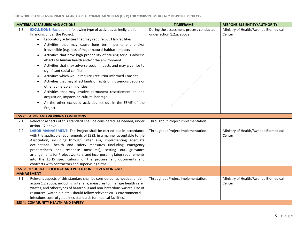| <b>MATERIAL MEASURES AND ACTIONS</b> |                                                                                                                                                                                                                                                                                                                                                                                                                                                                                                                                                                                                                                                                                                                                                                                                                                                                                                                      | <b>TIMEFRAME</b>                                                      | <b>RESPONSIBLE ENTITY/AUTHORITY</b>            |
|--------------------------------------|----------------------------------------------------------------------------------------------------------------------------------------------------------------------------------------------------------------------------------------------------------------------------------------------------------------------------------------------------------------------------------------------------------------------------------------------------------------------------------------------------------------------------------------------------------------------------------------------------------------------------------------------------------------------------------------------------------------------------------------------------------------------------------------------------------------------------------------------------------------------------------------------------------------------|-----------------------------------------------------------------------|------------------------------------------------|
| 1.3                                  | <b>EXCLUSIONS:</b> Exclude the following type of activities as ineligible for<br>financing under the Project:<br>Laboratory activities that may require BSL3 lab facilities<br>$\bullet$<br>Activities that may cause long term, permanent and/or<br>irreversible (e.g. loss of major natural habitat) impacts<br>Activities that have high probability of causing serious adverse<br>$\bullet$<br>effects to human health and/or the environment<br>Activities that may adverse social impacts and may give rise to<br>significant social conflict<br>Activities which would require Free Prior Informed Consent.<br>Activities that may affect lands or rights of indigenous people or<br>٠<br>other vulnerable minorities,<br>Activities that may involve permanent resettlement or land<br>acquisition, impacts on cultural heritage<br>All the other excluded activities set out in the ESMF of the<br>Project. | During the assessment process conducted<br>under action 1.2.a. above. | Ministry of Health/Rwanda Biomedical<br>Center |
|                                      | <b>ESS 2: LABOR AND WORKING CONDITIONS</b>                                                                                                                                                                                                                                                                                                                                                                                                                                                                                                                                                                                                                                                                                                                                                                                                                                                                           |                                                                       |                                                |
| 2.1                                  | Relevant aspects of this standard shall be considered, as needed, under<br>action 1.2 above.                                                                                                                                                                                                                                                                                                                                                                                                                                                                                                                                                                                                                                                                                                                                                                                                                         | Throughout Project implementation.                                    |                                                |
| 2.2                                  | LABOR MANAGEMENT: The Project shall be carried out in accordance<br>with the applicable requirements of ESS2, in a manner acceptable to the<br>Association, including through, inter alia, implementing adequate<br>occupational health and safety measures (including emergency<br>preparedness and response measures), setting out grievance<br>arrangements for Project workers, and incorporating labor requirements<br>into the ESHS specifications of the procurement documents and<br>contracts with contractors and supervising firms.                                                                                                                                                                                                                                                                                                                                                                       | Throughout Project implementation.                                    | Ministry of Health/Rwanda Biomedical<br>Center |
|                                      | <b>ESS 3: RESOURCE EFFICIENCY AND POLLUTION PREVENTION AND</b>                                                                                                                                                                                                                                                                                                                                                                                                                                                                                                                                                                                                                                                                                                                                                                                                                                                       |                                                                       |                                                |
|                                      | <b>MANAGEMENT</b>                                                                                                                                                                                                                                                                                                                                                                                                                                                                                                                                                                                                                                                                                                                                                                                                                                                                                                    |                                                                       |                                                |
| 3.1                                  | Relevant aspects of this standard shall be considered, as needed, under<br>action 1.2 above, including, inter alia, measures to: manage health care<br>wastes, and other types of hazardous and non-hazardous wastes. Use of<br>resources (water, air, etc.) should follow relevant WHO environmental<br>infections control guidelines standards for medical facilities.                                                                                                                                                                                                                                                                                                                                                                                                                                                                                                                                             | Throughout Project implementation.                                    | Ministry of Health/Rwanda Biomedical<br>Center |
|                                      | <b>ESS 4: COMMUNITY HEALTH AND SAFETY</b>                                                                                                                                                                                                                                                                                                                                                                                                                                                                                                                                                                                                                                                                                                                                                                                                                                                                            |                                                                       |                                                |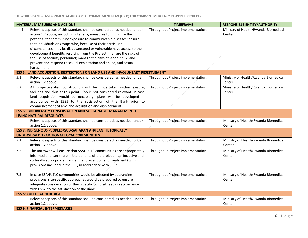| <b>MATERIAL MEASURES AND ACTIONS</b> |                                                                                                                                                                                                                                                                                                                                                                                                                                                                                                                                                                                              | <b>TIMEFRAME</b>                   | <b>RESPONSIBLE ENTITY/AUTHORITY</b>            |
|--------------------------------------|----------------------------------------------------------------------------------------------------------------------------------------------------------------------------------------------------------------------------------------------------------------------------------------------------------------------------------------------------------------------------------------------------------------------------------------------------------------------------------------------------------------------------------------------------------------------------------------------|------------------------------------|------------------------------------------------|
| 4.1                                  | Relevant aspects of this standard shall be considered, as needed, under<br>action 1.2 above, including, inter alia, measures to: minimize the<br>potential for community exposure to communicable diseases; ensure<br>that individuals or groups who, because of their particular<br>circumstances, may be disadvantaged or vulnerable have access to the<br>development benefits resulting from the Project; manage the risks of<br>the use of security personnel; manage the risks of labor influx; and<br>prevent and respond to sexual exploitation and abuse, and sexual<br>harassment. | Throughout Project implementation. | Ministry of Health/Rwanda Biomedical<br>Center |
|                                      | <b>ESS 5: LAND ACQUISITION, RESTRICTIONS ON LAND USE AND INVOLUNTARY RESETTLEMENT</b>                                                                                                                                                                                                                                                                                                                                                                                                                                                                                                        |                                    |                                                |
| 5.1                                  | Relevant aspects of this standard shall be considered, as needed, under<br>action 1.2 above.                                                                                                                                                                                                                                                                                                                                                                                                                                                                                                 | Throughout Project implementation. | Ministry of Health/Rwanda Biomedical<br>Center |
| 5.2                                  | All project-related construction will be undertaken within existing<br>facilities and thus at this point ESS5 is not considered relevant. In case<br>land acquisition would be necessary, plans will be developed in<br>accordance with ESS5 to the satisfaction of the Bank prior to<br>commencement of any land acquisition and displacement.                                                                                                                                                                                                                                              | Throughout Project implementation. | Ministry of Health/Rwanda Biomedical<br>Center |
|                                      | <b>ESS 6: BIODIVERSITY CONSERVATION AND SUSTAINABLE MANAGEMENT OF</b><br><b>LIVING NATURAL RESOURCES</b>                                                                                                                                                                                                                                                                                                                                                                                                                                                                                     |                                    |                                                |
|                                      | Relevant aspects of this standard shall be considered, as needed, under<br>action 1.2 above.                                                                                                                                                                                                                                                                                                                                                                                                                                                                                                 | Throughout Project implementation. | Ministry of Health/Rwanda Biomedical<br>Center |
|                                      | ESS 7: INDIGENOUS PEOPLES/SUB-SAHARAN AFRICAN HISTORICALLY                                                                                                                                                                                                                                                                                                                                                                                                                                                                                                                                   |                                    |                                                |
|                                      | UNDERSERVED TRADITIONAL LOCAL COMMUNITIES                                                                                                                                                                                                                                                                                                                                                                                                                                                                                                                                                    |                                    |                                                |
| 7.1                                  | Relevant aspects of this standard shall be considered, as needed, under<br>action 1.2 above.                                                                                                                                                                                                                                                                                                                                                                                                                                                                                                 | Throughout Project implementation. | Ministry of Health/Rwanda Biomedical<br>Center |
| 7.2                                  | The Borrower will ensure that SSAHUTLC communities are appropriately<br>informed and can share in the benefits of the project in an inclusive and<br>culturally appropriate manner (i.e. prevention and treatment) with<br>provisions included in the SEP, in accordance with ESS7.                                                                                                                                                                                                                                                                                                          | Throughout Project implementation. | Ministry of Health/Rwanda Biomedical<br>Center |
| 7.3                                  | In case SSAHUTLC communities would be affected by quarantine<br>provisions, site-specific approaches would be prepared to ensure<br>adequate consideration of their specific cultural needs in accordance<br>with ESS7, to the satisfaction of the Bank.                                                                                                                                                                                                                                                                                                                                     | Throughout Project implementation. | Ministry of Health/Rwanda Biomedical<br>Center |
|                                      | <b>ESS 8: CULTURAL HERITAGE</b>                                                                                                                                                                                                                                                                                                                                                                                                                                                                                                                                                              |                                    |                                                |
|                                      | Relevant aspects of this standard shall be considered, as needed, under<br>action 1.2 above.                                                                                                                                                                                                                                                                                                                                                                                                                                                                                                 | Throughout Project implementation. | Ministry of Health/Rwanda Biomedical<br>Center |
|                                      | <b>ESS 9: FINANCIAL INTERMEDIARIES</b>                                                                                                                                                                                                                                                                                                                                                                                                                                                                                                                                                       |                                    |                                                |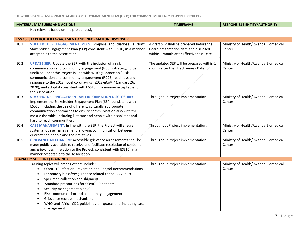**THE WORLD BANK - ENVIRONMENTAL AND SOCIAL COMMITMENT PLAN (ESCP) FOR COVID-19 EMERGENCY RESPONSE PROJECTS**

| <b>MATERIAL MEASURES AND ACTIONS</b> |                                                                          | <b>TIMEFRAME</b>                          | <b>RESPONSIBLE ENTITY/AUTHORITY</b>  |
|--------------------------------------|--------------------------------------------------------------------------|-------------------------------------------|--------------------------------------|
|                                      | Not relevant based on the project design                                 |                                           |                                      |
|                                      |                                                                          |                                           |                                      |
|                                      | <b>ESS 10: STAKEHOLDER ENGAGEMENT AND INFORMATION DISCLOSURE</b>         |                                           |                                      |
| 10.1                                 | STAKEHOLDER ENGAGEMENT PLAN: Prepare and disclose, a draft               | A draft SEP shall be prepared before the  | Ministry of Health/Rwanda Biomedical |
|                                      | Stakeholder Engagement Plan (SEP) consistent with ESS10, in a manner     | Board presentation date and disclosed     | Center                               |
|                                      | acceptable to the Association.                                           | within 1 month after Effectiveness Date   |                                      |
| 10.2                                 | <b>UPDATE SEP:</b> Update the SEP, with the inclusion of a risk          | The updated SEP will be prepared within 1 | Ministry of Health/Rwanda Biomedical |
|                                      | communication and community engagement (RCCE) strategy, to be            | month after the Effectiveness Date.       | Center                               |
|                                      | finalized under the Project in line with WHO guidance on "Risk           |                                           |                                      |
|                                      | communication and community engagement (RCCE) readiness and              |                                           |                                      |
|                                      | response to the 2019 novel coronavirus (2019-nCoV)" (January 26,         |                                           |                                      |
|                                      | 2020), and adopt it consistent with ESS10, in a manner acceptable to     |                                           |                                      |
|                                      | the Association.                                                         |                                           |                                      |
| 10.3                                 | <b>STAKEHOLDER ENGAGEMENT AND INFORMATION DISCLOSURE:</b>                | Throughout Project implementation.        | Ministry of Health/Rwanda Biomedical |
|                                      | Implement the Stakeholder Engagement Plan (SEP) consistent with          |                                           | Center                               |
|                                      | ESS10, including the use of different, culturally appropriate            |                                           |                                      |
|                                      | communication approaches to ensure communication also with the           |                                           |                                      |
|                                      | most vulnerable, including illiterate and people with disabilities and   |                                           |                                      |
|                                      | hard to reach communities.                                               |                                           |                                      |
| 10.4                                 | CASE MANAGEMENT: In line with the SEP, the Project will ensure           | Throughout Project implementation.        | Ministry of Health/Rwanda Biomedical |
|                                      | systematic case management, allowing communication between               |                                           | Center                               |
|                                      | quarantined people and their relatives.                                  |                                           |                                      |
| 10.5                                 | <b>GRIEVANCE MECHANISM:</b> Accessible grievance arrangements shall be   | Throughout Project implementation.        | Ministry of Health/Rwanda Biomedical |
|                                      | made publicly available to receive and facilitate resolution of concerns |                                           | Center                               |
|                                      | and grievances in relation to the Project, consistent with ESS10, in a   |                                           |                                      |
|                                      | manner acceptable to the Association.                                    |                                           |                                      |
|                                      | <b>CAPACITY SUPPORT (TRAINING)</b>                                       |                                           |                                      |
|                                      | Training topics will among others include:                               | Throughout Project implementation.        | Ministry of Health/Rwanda Biomedical |
|                                      | COVID-19 Infection Prevention and Control Recommendations<br>$\bullet$   |                                           | Center                               |
|                                      | Laboratory biosafety guidance related to the COVID-19<br>$\bullet$       |                                           |                                      |
|                                      | Specimen collection and shipment<br>$\bullet$                            |                                           |                                      |
|                                      | Standard precautions for COVID-19 patients<br>$\bullet$                  |                                           |                                      |
|                                      | Security management plan<br>$\bullet$                                    |                                           |                                      |
|                                      | Risk communication and community engagement                              |                                           |                                      |
|                                      | Grievance redress mechanisms                                             |                                           |                                      |
|                                      | WHO and Africa CDC guidelines on quarantine including case               |                                           |                                      |
|                                      | management                                                               |                                           |                                      |